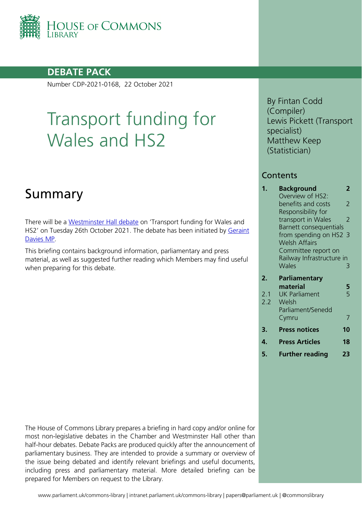

## **DEBATE PACK**

Number CDP-2021-0168, 22 October 2021

# Transport funding for Wales and HS2

## Summary

There will be a [Westminster Hall debate](https://www.parliament.uk/site-information/glossary/westminster-hall-adjournment-debates/?id=32625) on 'Transport funding for Wales and HS2' on Tuesday 26th October 2021. The debate has been initiated by Geraint [Davies MP.](https://members.parliament.uk/member/155/contact)

This briefing contains background information, parliamentary and press material, as well as suggested further reading which Members may find useful when preparing for this debate.

By Fintan Codd (Compiler) Lewis Pickett (Transport specialist) Matthew Keep (Statistician)

### **Contents**

| 1.  | Background                | 2  |
|-----|---------------------------|----|
|     | Overview of HS2:          |    |
|     | benefits and costs        | 2  |
|     | Responsibility for        |    |
|     | transport in Wales        | 2  |
|     | Barnett consequentials    |    |
|     | from spending on HS2 3    |    |
|     | <b>Welsh Affairs</b>      |    |
|     | Committee report on       |    |
|     | Railway Infrastructure in |    |
|     | <b>Wales</b>              | 3  |
| 2.  | <b>Parliamentary</b>      |    |
|     | material                  | 5  |
| 2.1 | <b>UK Parliament</b>      | 5  |
| 2.2 | Welsh                     |    |
|     | Parliament/Senedd         |    |
|     | Cymru                     |    |
| 3.  | <b>Press notices</b>      | 10 |
| 4.  | <b>Press Articles</b>     | 18 |
|     |                           |    |

**5. [Further reading](#page-22-0) 23**

The House of Commons Library prepares a briefing in hard copy and/or online for most non-legislative debates in the Chamber and Westminster Hall other than half-hour debates. Debate Packs are produced quickly after the announcement of parliamentary business. They are intended to provide a summary or overview of the issue being debated and identify relevant briefings and useful documents, including press and parliamentary material. More detailed briefing can be prepared for Members on request to the Library.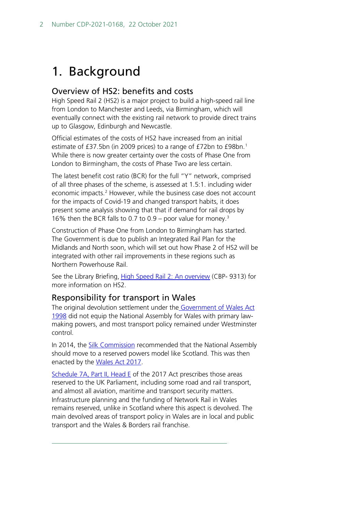## <span id="page-1-0"></span>1. Background

### <span id="page-1-1"></span>Overview of HS2: benefits and costs

High Speed Rail 2 (HS2) is a major project to build a high-speed rail line from London to Manchester and Leeds, via Birmingham, which will eventually connect with the existing rail network to provide direct trains up to Glasgow, Edinburgh and Newcastle.

Official estimates of the costs of HS2 have increased from an initial estimate of £37.5bn (in 2009 prices) to a range of £72bn to £98bn.<sup>1</sup> While there is now greater certainty over the costs of Phase One from London to Birmingham, the costs of Phase Two are less certain.

The latest benefit cost ratio (BCR) for the full "Y" network, comprised of all three phases of the scheme, is assessed at 1.5:1. including wider economic impacts.<sup>[2](#page-1-4)</sup> However, while the business case does not account for the impacts of Covid-19 and changed transport habits, it does present some analysis showing that that if demand for rail drops by 16% then the BCR falls to 0.7 to 0.9 – poor value for money.[3](#page-1-5)

Construction of Phase One from London to Birmingham has started. The Government is due to publish an Integrated Rail Plan for the Midlands and North soon, which will set out how Phase 2 of HS2 will be integrated with other rail improvements in these regions such as Northern Powerhouse Rail.

See the Library Briefing, [High Speed Rail 2: An overview](https://researchbriefings.files.parliament.uk/documents/CBP-9313/CBP-9313.pdf) (CBP- 9313) for more information on HS2.

### <span id="page-1-2"></span>Responsibility for transport in Wales

The original devolution settlement under the Government of Wales Act [1998](https://www.legislation.gov.uk/ukpga/1998/38/contents) did not equip the National Assembly for Wales with primary lawmaking powers, and most transport policy remained under Westminster control.

In 2014, the **Silk Commission** recommended that the National Assembly should move to a reserved powers model like Scotland. This was then enacted by the [Wales Act 2017.](https://www.legislation.gov.uk/ukpga/2017/4/contents/enacted)

<span id="page-1-5"></span><span id="page-1-4"></span><span id="page-1-3"></span>[Schedule 7A, Part II, Head E](http://www.legislation.gov.uk/ukpga/2006/32/schedule/7A/part/2/chapter/crossheading/5) of the 2017 Act prescribes those areas reserved to the UK Parliament, including some road and rail transport, and almost all aviation, maritime and transport security matters. Infrastructure planning and the funding of Network Rail in Wales remains reserved, unlike in Scotland where this aspect is devolved. The main devolved areas of transport policy in Wales are in local and public transport and the Wales & Borders rail franchise.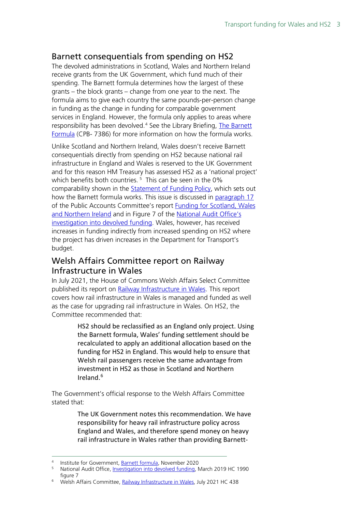### <span id="page-2-0"></span>Barnett consequentials from spending on HS2

The devolved administrations in Scotland, Wales and Northern Ireland receive grants from the UK Government, which fund much of their spending. The Barnett formula determines how the largest of these grants – the block grants – change from one year to the next. The formula aims to give each country the same pounds-per-person change in funding as the change in funding for comparable government services in England. However, the formula only applies to areas where responsibility has been devolved.<sup>[4](#page-2-2)</sup> See the Library Briefing, The Barnett [Formula](https://researchbriefings.files.parliament.uk/documents/CBP-7386/CBP-7386.pdf) (CPB- 7386) for more information on how the formula works.

Unlike Scotland and Northern Ireland, Wales doesn't receive Barnett consequentials directly from spending on HS2 because national rail infrastructure in England and Wales is reserved to the UK Government and for this reason HM Treasury has assessed HS2 as a 'national project' which benefits both countries.<sup>[5](#page-2-3)</sup> This can be seen in the 0% comparability shown in the [Statement of Funding Policy,](https://assets.publishing.service.gov.uk/government/uploads/system/uploads/attachment_data/file/479717/statement_of_funding_2015_print.pdf#page=68) which sets out how the Barnett formula works. This issue is discussed in [paragraph 17](https://publications.parliament.uk/pa/cm201719/cmselect/cmpubacc/1751/175107.htm#_idTextAnchor015) of the Public Accounts Committee's report [Funding for Scotland, Wales](https://publications.parliament.uk/pa/cm201719/cmselect/cmpubacc/1751/175102.htm)  [and Northern Ireland](https://publications.parliament.uk/pa/cm201719/cmselect/cmpubacc/1751/175102.htm) and in Figure 7 of the [National Audit Office's](https://www.nao.org.uk/wp-content/uploads/2019/02/Investigation-into-devolved-funding.pdf)  [investigation into devolved funding.](https://www.nao.org.uk/wp-content/uploads/2019/02/Investigation-into-devolved-funding.pdf) Wales, however, has received increases in funding indirectly from increased spending on HS2 where the project has driven increases in the Department for Transport's budget.

### <span id="page-2-1"></span>Welsh Affairs Committee report on Railway Infrastructure in Wales

In July 2021, the House of Commons Welsh Affairs Select Committee published its report on [Railway Infrastructure in Wales.](https://committees.parliament.uk/publications/6686/documents/71774/default/) This report covers how rail infrastructure in Wales is managed and funded as well as the case for upgrading rail infrastructure in Wales. On HS2, the Committee recommended that:

> HS2 should be reclassified as an England only project. Using the Barnett formula, Wales' funding settlement should be recalculated to apply an additional allocation based on the funding for HS2 in England. This would help to ensure that Welsh rail passengers receive the same advantage from investment in HS2 as those in Scotland and Northern Ireland[.6](#page-2-4)

The Government's official response to the Welsh Affairs Committee stated that:

> The UK Government notes this recommendation. We have responsibility for heavy rail infrastructure policy across England and Wales, and therefore spend money on heavy rail infrastructure in Wales rather than providing Barnett-

<span id="page-2-3"></span><span id="page-2-2"></span><sup>&</sup>lt;sup>4</sup> Institute for Government, [Barnett formula,](https://www.instituteforgovernment.org.uk/explainers/barnett-formula) November 2020<br><sup>5</sup> National Audit Office, [Investigation into devolved funding,](https://www.nao.org.uk/wp-content/uploads/2019/02/Investigation-into-devolved-funding.pdf) March 2019 HC 1990 figure 7

<span id="page-2-4"></span><sup>&</sup>lt;sup>6</sup> Welsh Affairs Committee[, Railway Infrastructure in Wales,](https://committees.parliament.uk/publications/6686/documents/71774/default/) July 2021 HC 438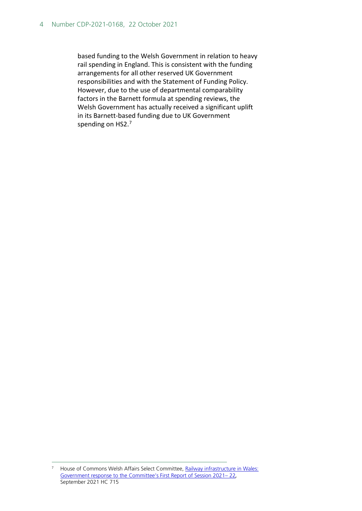based funding to the Welsh Government in relation to heavy rail spending in England. This is consistent with the funding arrangements for all other reserved UK Government responsibilities and with the Statement of Funding Policy. However, due to the use of departmental comparability factors in the Barnett formula at spending reviews, the Welsh Government has actually received a significant uplift in its Barnett-based funding due to UK Government spending on HS2.[7](#page-3-0)

<span id="page-3-0"></span><sup>&</sup>lt;sup>7</sup> House of Commons Welsh Affairs Select Committee, Railway infrastructure in Wales: [Government response to the Committee's First Report of Session 2021–](https://committees.parliament.uk/publications/7384/documents/77392/default/) 22*,*  September 2021 HC 715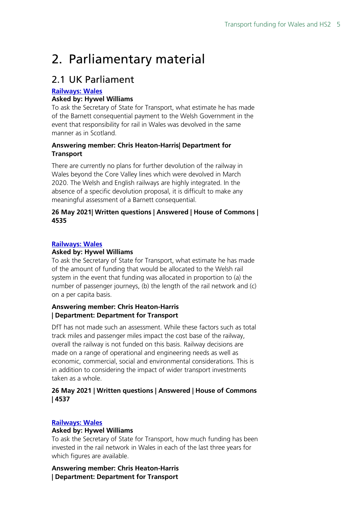## <span id="page-4-0"></span>2. Parliamentary material

## <span id="page-4-1"></span>2.1 UK Parliament

#### **[Railways:](http://www.parliament.uk/written-questions-answers-statements/written-question/commons/2021-05-20/4535) Wales**

#### **Asked by: Hywel Williams**

To ask the Secretary of State for Transport, what estimate he has made of the Barnett consequential payment to the Welsh Government in the event that responsibility for rail in Wales was devolved in the same manner as in Scotland.

#### **Answering member: Chris Heaton-Harris| Department for Transport**

There are currently no plans for further devolution of the railway in Wales beyond the Core Valley lines which were devolved in March 2020. The Welsh and English railways are highly integrated. In the absence of a specific devolution proposal, it is difficult to make any meaningful assessment of a Barnett consequential.

#### **26 May 2021| Written questions | Answered | House of Commons | 4535**

#### **[Railways:](http://www.parliament.uk/written-questions-answers-statements/written-question/commons/2021-05-20/4537) Wales**

#### **Asked by: Hywel Williams**

To ask the Secretary of State for Transport, what estimate he has made of the amount of funding that would be allocated to the Welsh rail system in the event that funding was allocated in proportion to (a) the number of passenger journeys, (b) the length of the rail network and (c) on a per capita basis.

#### **Answering member: Chris Heaton-Harris | Department: Department for Transport**

DfT has not made such an assessment. While these factors such as total track miles and passenger miles impact the cost base of the railway, overall the railway is not funded on this basis. Railway decisions are made on a range of operational and engineering needs as well as economic, commercial, social and environmental considerations. This is in addition to considering the impact of wider transport investments taken as a whole.

#### **26 May 2021 | Written questions | Answered | House of Commons | 4537**

#### **[Railways:](http://www.parliament.uk/written-questions-answers-statements/written-question/commons/2021-05-20/4536) Wales**

#### **Asked by: Hywel Williams**

To ask the Secretary of State for Transport, how much funding has been invested in the rail network in Wales in each of the last three years for which figures are available.

**Answering member: Chris Heaton-Harris | Department: Department for Transport**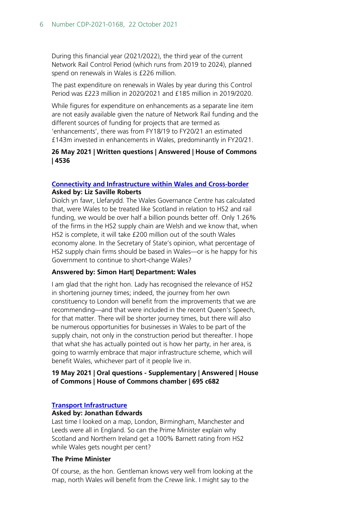During this financial year (2021/2022), the third year of the current Network Rail Control Period (which runs from 2019 to 2024), planned spend on renewals in Wales is £226 million.

The past expenditure on renewals in Wales by year during this Control Period was £223 million in 2020/2021 and £185 million in 2019/2020.

While figures for expenditure on enhancements as a separate line item are not easily available given the nature of Network Rail funding and the different sources of funding for projects that are termed as 'enhancements', there was from FY18/19 to FY20/21 an estimated £143m invested in enhancements in Wales, predominantly in FY20/21.

#### **26 May 2021 | Written questions | Answered | House of Commons | 4536**

#### **[Connectivity and Infrastructure within Wales and Cross-border](https://hansard.parliament.uk/Commons/2021-05-19/debates/9BDED412-FF29-406A-96C3-A70C94AB5E0D/ConnectivityAndInfrastructureWithinWalesAndCross-Border#contribution-C9378BA0-6C6A-4CA9-A35D-4759F9685D75) Asked by: Liz Saville Roberts**

Diolch yn fawr, Llefarydd. The Wales Governance Centre has calculated that, were Wales to be treated like Scotland in relation to HS2 and rail funding, we would be over half a billion pounds better off. Only 1.26% of the firms in the HS2 supply chain are Welsh and we know that, when HS2 is complete, it will take £200 million out of the south Wales economy alone. In the Secretary of State's opinion, what percentage of HS2 supply chain firms should be based in Wales—or is he happy for his Government to continue to short-change Wales?

#### **Answered by: Simon Hart| Department: Wales**

I am glad that the right hon. Lady has recognised the relevance of HS2 in shortening journey times; indeed, the journey from her own constituency to London will benefit from the improvements that we are recommending—and that were included in the recent Queen's Speech, for that matter. There will be shorter journey times, but there will also be numerous opportunities for businesses in Wales to be part of the supply chain, not only in the construction period but thereafter. I hope that what she has actually pointed out is how her party, in her area, is going to warmly embrace that major infrastructure scheme, which will benefit Wales, whichever part of it people live in.

#### **19 May 2021 | Oral questions - Supplementary | Answered | House of Commons | House of Commons chamber | 695 c682**

#### **[Transport Infrastructure](https://hansard.parliament.uk/pa/cm201921/cmhansrd/cm200211/debtext/200211-0001.htm#FB43B605-2394-4F48-9D3D-EB5E7C06C950)**

#### **Asked by: Jonathan Edwards**

Last time I looked on a map, London, Birmingham, Manchester and Leeds were all in England. So can the Prime Minister explain why Scotland and Northern Ireland get a 100% Barnett rating from HS2 while Wales gets nought per cent?

#### **The Prime Minister**

Of course, as the hon. Gentleman knows very well from looking at the map, north Wales will benefit from the Crewe link. I might say to the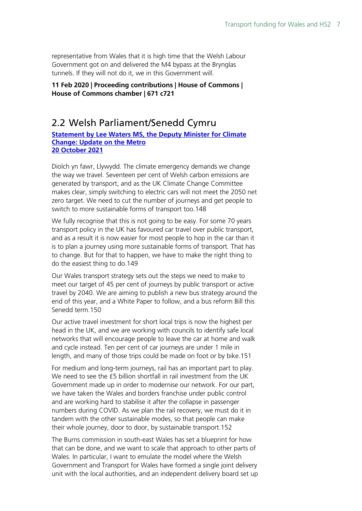representative from Wales that it is high time that the Welsh Labour Government got on and delivered the M4 bypass at the Brynglas tunnels. If they will not do it, we in this Government will.

**11 Feb 2020 | Proceeding contributions | House of Commons | House of Commons chamber | 671 c721**

## <span id="page-6-0"></span>2.2 Welsh Parliament/Senedd Cymru

**[Statement by Lee Waters MS, the Deputy Minister for Climate](https://record.senedd.wales/Plenary/12458#C383010)  [Change: Update on the Metro](https://record.senedd.wales/Plenary/12458#C383010) [20 October 2021](https://record.senedd.wales/Plenary/12458#C383010)**

Diolch yn fawr, Llywydd. The climate emergency demands we change the way we travel. Seventeen per cent of Welsh carbon emissions are generated by transport, and as the UK Climate Change Committee makes clear, simply switching to electric cars will not meet the 2050 net zero target. We need to cut the number of journeys and get people to switch to more sustainable forms of transport too.148

We fully recognise that this is not going to be easy. For some 70 years transport policy in the UK has favoured car travel over public transport, and as a result it is now easier for most people to hop in the car than it is to plan a journey using more sustainable forms of transport. That has to change. But for that to happen, we have to make the right thing to do the easiest thing to do.149

Our Wales transport strategy sets out the steps we need to make to meet our target of 45 per cent of journeys by public transport or active travel by 2040. We are aiming to publish a new bus strategy around the end of this year, and a White Paper to follow, and a bus reform Bill this Senedd term.150

Our active travel investment for short local trips is now the highest per head in the UK, and we are working with councils to identify safe local networks that will encourage people to leave the car at home and walk and cycle instead. Ten per cent of car journeys are under 1 mile in length, and many of those trips could be made on foot or by bike.151

For medium and long-term journeys, rail has an important part to play. We need to see the £5 billion shortfall in rail investment from the UK Government made up in order to modernise our network. For our part, we have taken the Wales and borders franchise under public control and are working hard to stabilise it after the collapse in passenger numbers during COVID. As we plan the rail recovery, we must do it in tandem with the other sustainable modes, so that people can make their whole journey, door to door, by sustainable transport.152

The Burns commission in south-east Wales has set a blueprint for how that can be done, and we want to scale that approach to other parts of Wales. In particular, I want to emulate the model where the Welsh Government and Transport for Wales have formed a single joint delivery unit with the local authorities, and an independent delivery board set up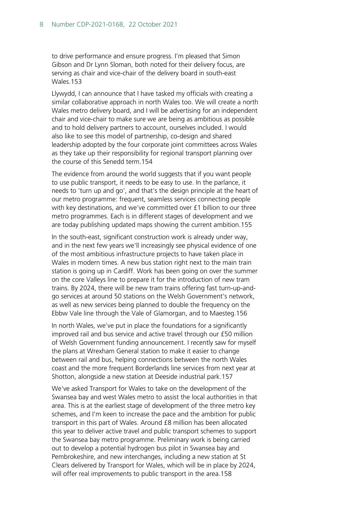to drive performance and ensure progress. I'm pleased that Simon Gibson and Dr Lynn Sloman, both noted for their delivery focus, are serving as chair and vice-chair of the delivery board in south-east Wales.153

Llywydd, I can announce that I have tasked my officials with creating a similar collaborative approach in north Wales too. We will create a north Wales metro delivery board, and I will be advertising for an independent chair and vice-chair to make sure we are being as ambitious as possible and to hold delivery partners to account, ourselves included. I would also like to see this model of partnership, co-design and shared leadership adopted by the four corporate joint committees across Wales as they take up their responsibility for regional transport planning over the course of this Senedd term.154

The evidence from around the world suggests that if you want people to use public transport, it needs to be easy to use. In the parlance, it needs to 'turn up and go', and that's the design principle at the heart of our metro programme: frequent, seamless services connecting people with key destinations, and we've committed over £1 billion to our three metro programmes. Each is in different stages of development and we are today publishing updated maps showing the current ambition.155

In the south-east, significant construction work is already under way, and in the next few years we'll increasingly see physical evidence of one of the most ambitious infrastructure projects to have taken place in Wales in modern times. A new bus station right next to the main train station is going up in Cardiff. Work has been going on over the summer on the core Valleys line to prepare it for the introduction of new tram trains. By 2024, there will be new tram trains offering fast turn-up-andgo services at around 50 stations on the Welsh Government's network, as well as new services being planned to double the frequency on the Ebbw Vale line through the Vale of Glamorgan, and to Maesteg.156

In north Wales, we've put in place the foundations for a significantly improved rail and bus service and active travel through our £50 million of Welsh Government funding announcement. I recently saw for myself the plans at Wrexham General station to make it easier to change between rail and bus, helping connections between the north Wales coast and the more frequent Borderlands line services from next year at Shotton, alongside a new station at Deeside industrial park.157

We've asked Transport for Wales to take on the development of the Swansea bay and west Wales metro to assist the local authorities in that area. This is at the earliest stage of development of the three metro key schemes, and I'm keen to increase the pace and the ambition for public transport in this part of Wales. Around £8 million has been allocated this year to deliver active travel and public transport schemes to support the Swansea bay metro programme. Preliminary work is being carried out to develop a potential hydrogen bus pilot in Swansea bay and Pembrokeshire, and new interchanges, including a new station at St Clears delivered by Transport for Wales, which will be in place by 2024, will offer real improvements to public transport in the area.158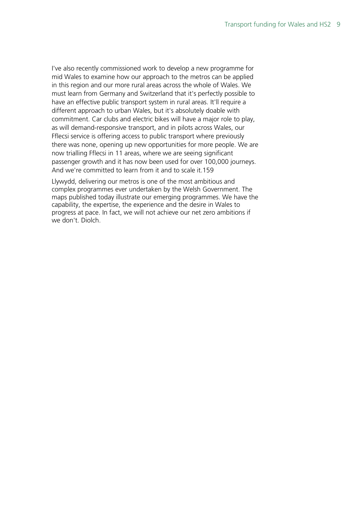I've also recently commissioned work to develop a new programme for mid Wales to examine how our approach to the metros can be applied in this region and our more rural areas across the whole of Wales. We must learn from Germany and Switzerland that it's perfectly possible to have an effective public transport system in rural areas. It'll require a different approach to urban Wales, but it's absolutely doable with commitment. Car clubs and electric bikes will have a major role to play, as will demand-responsive transport, and in pilots across Wales, our Fflecsi service is offering access to public transport where previously there was none, opening up new opportunities for more people. We are now trialling Fflecsi in 11 areas, where we are seeing significant passenger growth and it has now been used for over 100,000 journeys. And we're committed to learn from it and to scale it.159

Llywydd, delivering our metros is one of the most ambitious and complex programmes ever undertaken by the Welsh Government. The maps published today illustrate our emerging programmes. We have the capability, the expertise, the experience and the desire in Wales to progress at pace. In fact, we will not achieve our net zero ambitions if we don't. Diolch.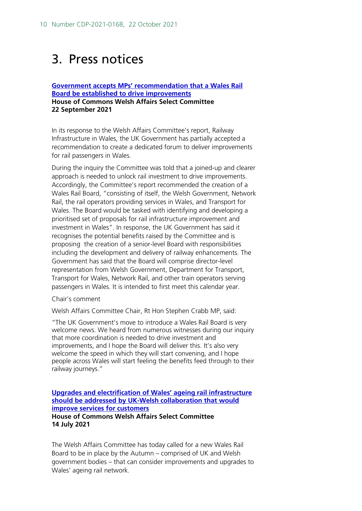## <span id="page-9-0"></span>3. Press notices

#### **[Government accepts MPs' recommendation that a Wales Rail](https://committees.parliament.uk/work/849/railway-infrastructure-in-wales/news/157651/government-accepts-mps-recommendation-that-a-wales-rail-board-be-established-to-drive-improvements/) [Board be established to drive improvements](https://committees.parliament.uk/work/849/railway-infrastructure-in-wales/news/157651/government-accepts-mps-recommendation-that-a-wales-rail-board-be-established-to-drive-improvements/) House of Commons Welsh Affairs Select Committee 22 September 2021**

In its response to the Welsh Affairs Committee's report, Railway Infrastructure in Wales, the UK Government has partially accepted a recommendation to create a dedicated forum to deliver improvements for rail passengers in Wales.

During the inquiry the Committee was told that a joined-up and clearer approach is needed to unlock rail investment to drive improvements. Accordingly, the Committee's report recommended the creation of a Wales Rail Board, "consisting of itself, the Welsh Government, Network Rail, the rail operators providing services in Wales, and Transport for Wales. The Board would be tasked with identifying and developing a prioritised set of proposals for rail infrastructure improvement and investment in Wales". In response, the UK Government has said it recognises the potential benefits raised by the Committee and is proposing the creation of a senior-level Board with responsibilities including the development and delivery of railway enhancements. The Government has said that the Board will comprise director-level representation from Welsh Government, Department for Transport, Transport for Wales, Network Rail, and other train operators serving passengers in Wales. It is intended to first meet this calendar year.

Chair's comment

Welsh Affairs Committee Chair, Rt Hon Stephen Crabb MP, said:

"The UK Government's move to introduce a Wales Rail Board is very welcome news. We heard from numerous witnesses during our inquiry that more coordination is needed to drive investment and improvements, and I hope the Board will deliver this. It's also very welcome the speed in which they will start convening, and I hope people across Wales will start feeling the benefits feed through to their railway journeys."

#### **[Upgrades and electrification of Wales' ageing rail infrastructure](https://www.wired-gov.net/wg/news.nsf/articles/Upgrades+and+electrification+of+Wales+ageing+rail+infrastructure+should+be+addressed+by+UKWelsh+collaboration+that+would+improve+services+for+customers+14072021150500?open)  [should be addressed by UK-Welsh collaboration that would](https://www.wired-gov.net/wg/news.nsf/articles/Upgrades+and+electrification+of+Wales+ageing+rail+infrastructure+should+be+addressed+by+UKWelsh+collaboration+that+would+improve+services+for+customers+14072021150500?open)  [improve services for customers](https://www.wired-gov.net/wg/news.nsf/articles/Upgrades+and+electrification+of+Wales+ageing+rail+infrastructure+should+be+addressed+by+UKWelsh+collaboration+that+would+improve+services+for+customers+14072021150500?open) House of Commons Welsh Affairs Select Committee**

**14 July 2021**

The Welsh Affairs Committee has today called for a new Wales Rail Board to be in place by the Autumn – comprised of UK and Welsh government bodies – that can consider improvements and upgrades to Wales' ageing rail network.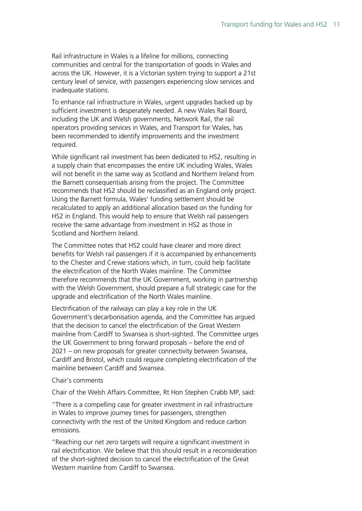Rail infrastructure in Wales is a lifeline for millions, connecting communities and central for the transportation of goods in Wales and across the UK. However, it is a Victorian system trying to support a 21st century level of service, with passengers experiencing slow services and inadequate stations.

To enhance rail infrastructure in Wales, urgent upgrades backed up by sufficient investment is desperately needed. A new Wales Rail Board, including the UK and Welsh governments, Network Rail, the rail operators providing services in Wales, and Transport for Wales, has been recommended to identify improvements and the investment required.

While significant rail investment has been dedicated to HS2, resulting in a supply chain that encompasses the entire UK including Wales, Wales will not benefit in the same way as Scotland and Northern Ireland from the Barnett consequentials arising from the project. The Committee recommends that HS2 should be reclassified as an England only project. Using the Barnett formula, Wales' funding settlement should be recalculated to apply an additional allocation based on the funding for HS2 in England. This would help to ensure that Welsh rail passengers receive the same advantage from investment in HS2 as those in Scotland and Northern Ireland.

The Committee notes that HS2 could have clearer and more direct benefits for Welsh rail passengers if it is accompanied by enhancements to the Chester and Crewe stations which, in turn, could help facilitate the electrification of the North Wales mainline. The Committee therefore recommends that the UK Government, working in partnership with the Welsh Government, should prepare a full strategic case for the upgrade and electrification of the North Wales mainline.

Electrification of the railways can play a key role in the UK Government's decarbonisation agenda, and the Committee has argued that the decision to cancel the electrification of the Great Western mainline from Cardiff to Swansea is short-sighted. The Committee urges the UK Government to bring forward proposals – before the end of 2021 – on new proposals for greater connectivity between Swansea, Cardiff and Bristol, which could require completing electrification of the mainline between Cardiff and Swansea.

#### Chair's comments

Chair of the Welsh Affairs Committee, Rt Hon Stephen Crabb MP, said:

"There is a compelling case for greater investment in rail infrastructure in Wales to improve journey times for passengers, strengthen connectivity with the rest of the United Kingdom and reduce carbon emissions.

"Reaching our net zero targets will require a significant investment in rail electrification. We believe that this should result in a reconsideration of the short-sighted decision to cancel the electrification of the Great Western mainline from Cardiff to Swansea.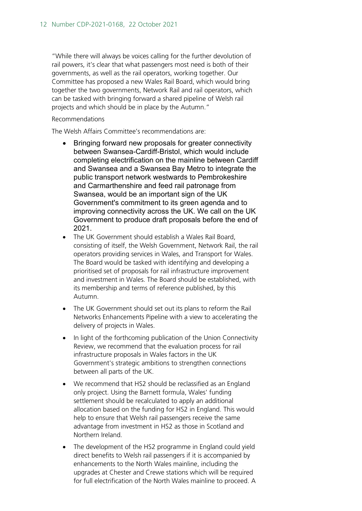"While there will always be voices calling for the further devolution of rail powers, it's clear that what passengers most need is both of their governments, as well as the rail operators, working together. Our Committee has proposed a new Wales Rail Board, which would bring together the two governments, Network Rail and rail operators, which can be tasked with bringing forward a shared pipeline of Welsh rail projects and which should be in place by the Autumn."

#### Recommendations

The Welsh Affairs Committee's recommendations are:

- Bringing forward new proposals for greater connectivity between Swansea-Cardiff-Bristol, which would include completing electrification on the mainline between Cardiff and Swansea and a Swansea Bay Metro to integrate the public transport network westwards to Pembrokeshire and Carmarthenshire and feed rail patronage from Swansea, would be an important sign of the UK Government's commitment to its green agenda and to improving connectivity across the UK. We call on the UK Government to produce draft proposals before the end of 2021.
- The UK Government should establish a Wales Rail Board, consisting of itself, the Welsh Government, Network Rail, the rail operators providing services in Wales, and Transport for Wales. The Board would be tasked with identifying and developing a prioritised set of proposals for rail infrastructure improvement and investment in Wales. The Board should be established, with its membership and terms of reference published, by this Autumn.
- The UK Government should set out its plans to reform the Rail Networks Enhancements Pipeline with a view to accelerating the delivery of projects in Wales.
- In light of the forthcoming publication of the Union Connectivity Review, we recommend that the evaluation process for rail infrastructure proposals in Wales factors in the UK Government's strategic ambitions to strengthen connections between all parts of the UK.
- We recommend that HS2 should be reclassified as an England only project. Using the Barnett formula, Wales' funding settlement should be recalculated to apply an additional allocation based on the funding for HS2 in England. This would help to ensure that Welsh rail passengers receive the same advantage from investment in HS2 as those in Scotland and Northern Ireland.
- The development of the HS2 programme in England could yield direct benefits to Welsh rail passengers if it is accompanied by enhancements to the North Wales mainline, including the upgrades at Chester and Crewe stations which will be required for full electrification of the North Wales mainline to proceed. A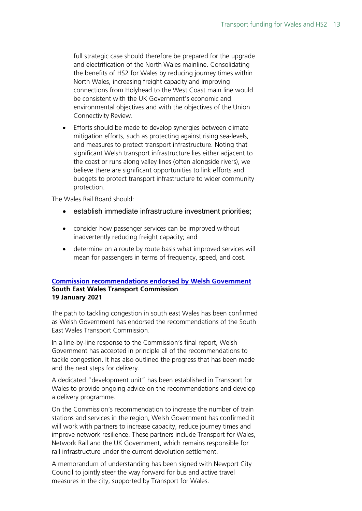full strategic case should therefore be prepared for the upgrade and electrification of the North Wales mainline. Consolidating the benefits of HS2 for Wales by reducing journey times within North Wales, increasing freight capacity and improving connections from Holyhead to the West Coast main line would be consistent with the UK Government's economic and environmental objectives and with the objectives of the Union Connectivity Review.

• Efforts should be made to develop synergies between climate mitigation efforts, such as protecting against rising sea-levels, and measures to protect transport infrastructure. Noting that significant Welsh transport infrastructure lies either adjacent to the coast or runs along valley lines (often alongside rivers), we believe there are significant opportunities to link efforts and budgets to protect transport infrastructure to wider community protection.

The Wales Rail Board should:

- establish immediate infrastructure investment priorities;
- consider how passenger services can be improved without inadvertently reducing freight capacity; and
- determine on a route by route basis what improved services will mean for passengers in terms of frequency, speed, and cost.

#### **[Commission recommendations endorsed by Welsh Government](https://gov.wales/commission-recommendations-endorsed-welsh-government) South East Wales Transport Commission 19 January 2021**

The path to tackling congestion in south east Wales has been confirmed as Welsh Government has endorsed the recommendations of the South East Wales Transport Commission.

In a line-by-line response to the Commission's final report, Welsh Government has accepted in principle all of the recommendations to tackle congestion. It has also outlined the progress that has been made and the next steps for delivery.

A dedicated "development unit" has been established in Transport for Wales to provide ongoing advice on the recommendations and develop a delivery programme.

On the Commission's recommendation to increase the number of train stations and services in the region, Welsh Government has confirmed it will work with partners to increase capacity, reduce journey times and improve network resilience. These partners include Transport for Wales, Network Rail and the UK Government, which remains responsible for rail infrastructure under the current devolution settlement.

A memorandum of understanding has been signed with Newport City Council to jointly steer the way forward for bus and active travel measures in the city, supported by Transport for Wales.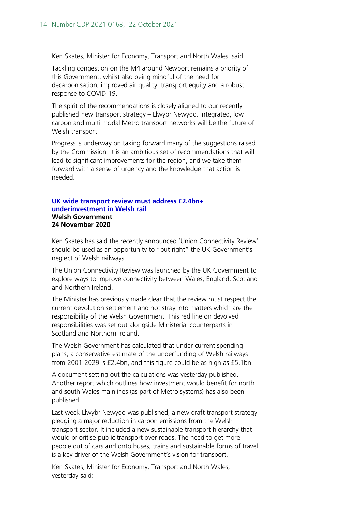Ken Skates, Minister for Economy, Transport and North Wales, said:

Tackling congestion on the M4 around Newport remains a priority of this Government, whilst also being mindful of the need for decarbonisation, improved air quality, transport equity and a robust response to COVID-19.

The spirit of the recommendations is closely aligned to our recently published new transport strategy – Llwybr Newydd. Integrated, low carbon and multi modal Metro transport networks will be the future of Welsh transport.

Progress is underway on taking forward many of the suggestions raised by the Commission. It is an ambitious set of recommendations that will lead to significant improvements for the region, and we take them forward with a sense of urgency and the knowledge that action is needed.

#### **[UK wide transport review must address £2.4bn+](https://www.wired-gov.net/wg/news.nsf/articles/UK+wide+transport+review+must+address+2.4bn+underinvestment+in+Welsh+rail+24112020110500?open)  [underinvestment in Welsh rail](https://www.wired-gov.net/wg/news.nsf/articles/UK+wide+transport+review+must+address+2.4bn+underinvestment+in+Welsh+rail+24112020110500?open) Welsh Government 24 November 2020**

Ken Skates has said the recently announced 'Union Connectivity Review' should be used as an opportunity to "put right" the UK Government's neglect of Welsh railways.

The Union Connectivity Review was launched by the UK Government to explore ways to improve connectivity between Wales, England, Scotland and Northern Ireland.

The Minister has previously made clear that the review must respect the current devolution settlement and not stray into matters which are the responsibility of the Welsh Government. This red line on devolved responsibilities was set out alongside Ministerial counterparts in Scotland and Northern Ireland.

The Welsh Government has calculated that under current spending plans, a conservative estimate of the underfunding of Welsh railways from 2001-2029 is £2.4bn, and this figure could be as high as £5.1bn.

A document setting out the calculations was yesterday published. Another report which outlines how investment would benefit for north and south Wales mainlines (as part of Metro systems) has also been published.

Last week Llwybr Newydd was published, a new draft transport strategy pledging a major reduction in carbon emissions from the Welsh transport sector. It included a new sustainable transport hierarchy that would prioritise public transport over roads. The need to get more people out of cars and onto buses, trains and sustainable forms of travel is a key driver of the Welsh Government's vision for transport.

Ken Skates, Minister for Economy, Transport and North Wales, yesterday said: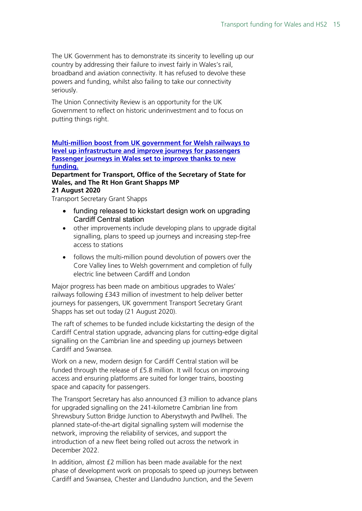The UK Government has to demonstrate its sincerity to levelling up our country by addressing their failure to invest fairly in Wales's rail, broadband and aviation connectivity. It has refused to devolve these powers and funding, whilst also failing to take our connectivity seriously.

The Union Connectivity Review is an opportunity for the UK Government to reflect on historic underinvestment and to focus on putting things right.

#### **[Multi-million boost from UK government for Welsh railways to](https://www.gov.uk/government/news/multi-million-boost-from-uk-government-for-welsh-railways-to-level-up-infrastructure-and-improve-journeys-for-passengers)  [level up infrastructure and improve journeys for passengers](https://www.gov.uk/government/news/multi-million-boost-from-uk-government-for-welsh-railways-to-level-up-infrastructure-and-improve-journeys-for-passengers)  [Passenger journeys in Wales set to improve thanks to new](https://www.gov.uk/government/news/multi-million-boost-from-uk-government-for-welsh-railways-to-level-up-infrastructure-and-improve-journeys-for-passengers)  [funding.](https://www.gov.uk/government/news/multi-million-boost-from-uk-government-for-welsh-railways-to-level-up-infrastructure-and-improve-journeys-for-passengers)**

#### **Department for Transport, Office of the Secretary of State for Wales, and The Rt Hon Grant Shapps MP 21 August 2020**

Transport Secretary Grant Shapps

- funding released to kickstart design work on upgrading Cardiff Central station
- other improvements include developing plans to upgrade digital signalling, plans to speed up journeys and increasing step-free access to stations
- follows the multi-million pound devolution of powers over the Core Valley lines to Welsh government and completion of fully electric line between Cardiff and London

Major progress has been made on ambitious upgrades to Wales' railways following £343 million of investment to help deliver better journeys for passengers, UK government Transport Secretary Grant Shapps has set out today (21 August 2020).

The raft of schemes to be funded include kickstarting the design of the Cardiff Central station upgrade, advancing plans for cutting-edge digital signalling on the Cambrian line and speeding up journeys between Cardiff and Swansea.

Work on a new, modern design for Cardiff Central station will be funded through the release of £5.8 million. It will focus on improving access and ensuring platforms are suited for longer trains, boosting space and capacity for passengers.

The Transport Secretary has also announced £3 million to advance plans for upgraded signalling on the 241-kilometre Cambrian line from Shrewsbury Sutton Bridge Junction to Aberystwyth and Pwllheli. The planned state-of-the-art digital signalling system will modernise the network, improving the reliability of services, and support the introduction of a new fleet being rolled out across the network in December 2022.

In addition, almost £2 million has been made available for the next phase of development work on proposals to speed up journeys between Cardiff and Swansea, Chester and Llandudno Junction, and the Severn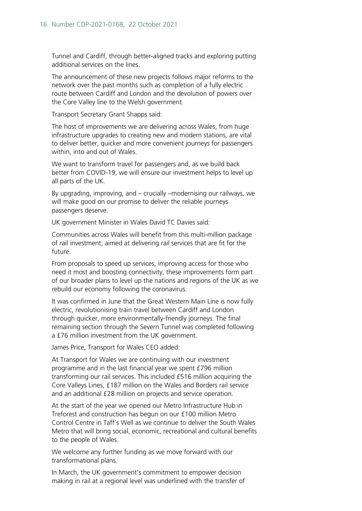Tunnel and Cardiff, through better-aligned tracks and exploring putting additional services on the lines.

The announcement of these new projects follows major reforms to the network over the past months such as completion of a fully electric route between Cardiff and London and the devolution of powers over the Core Valley line to the Welsh government.

Transport Secretary Grant Shapps said:

The host of improvements we are delivering across Wales, from huge infrastructure upgrades to creating new and modern stations, are vital to deliver better, quicker and more convenient journeys for passengers within, into and out of Wales.

We want to transform travel for passengers and, as we build back better from COVID-19, we will ensure our investment helps to level up all parts of the UK.

By upgrading, improving, and – crucially –modernising our railways, we will make good on our promise to deliver the reliable journeys passengers deserve.

UK government Minister in Wales David TC Davies said:

Communities across Wales will benefit from this multi-million package of rail investment, aimed at delivering rail services that are fit for the future.

From proposals to speed up services, improving access for those who need it most and boosting connectivity, these improvements form part of our broader plans to level up the nations and regions of the UK as we rebuild our economy following the coronavirus.

It was confirmed in June that the Great Western Main Line is now fully electric, revolutionising train travel between Cardiff and London through quicker, more environmentally-friendly journeys. The final remaining section through the Severn Tunnel was completed following a £76 million investment from the UK government.

James Price, Transport for Wales CEO added:

At Transport for Wales we are continuing with our investment programme and in the last financial year we spent £796 million transforming our rail services. This included £516 million acquiring the Core Valleys Lines, £187 million on the Wales and Borders rail service and an additional £28 million on projects and service operation.

At the start of the year we opened our Metro Infrastructure Hub in Treforest and construction has begun on our £100 million Metro Control Centre in Taff's Well as we continue to deliver the South Wales Metro that will bring social, economic, recreational and cultural benefits to the people of Wales.

We welcome any further funding as we move forward with our transformational plans.

In March, the UK government's commitment to empower decision making in rail at a regional level was underlined with the transfer of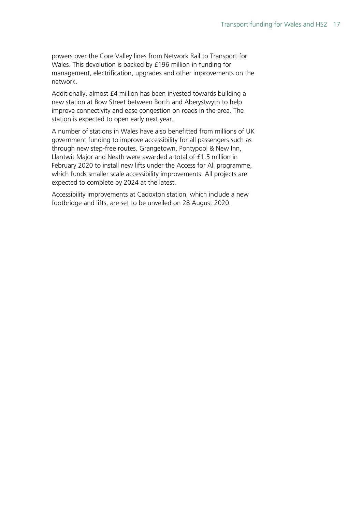powers over the Core Valley lines from Network Rail to Transport for Wales. This devolution is backed by £196 million in funding for management, electrification, upgrades and other improvements on the network.

Additionally, almost £4 million has been invested towards building a new station at Bow Street between Borth and Aberystwyth to help improve connectivity and ease congestion on roads in the area. The station is expected to open early next year.

A number of stations in Wales have also benefitted from millions of UK government funding to improve accessibility for all passengers such as through new step-free routes. Grangetown, Pontypool & New Inn, Llantwit Major and Neath were awarded a total of £1.5 million in February 2020 to install new lifts under the Access for All programme, which funds smaller scale accessibility improvements. All projects are expected to complete by 2024 at the latest.

Accessibility improvements at Cadoxton station, which include a new footbridge and lifts, are set to be unveiled on 28 August 2020.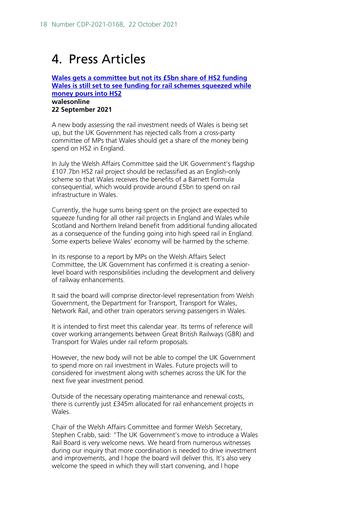## <span id="page-17-0"></span>4. Press Articles

#### **[Wales gets a committee but not its £5bn share of HS2 funding](https://www.walesonline.co.uk/news/politics/hs2-rail-transport-funding-billions-21638520) [Wales is still set to see funding for rail schemes squeezed while](https://www.walesonline.co.uk/news/politics/hs2-rail-transport-funding-billions-21638520)  [money pours into HS2](https://www.walesonline.co.uk/news/politics/hs2-rail-transport-funding-billions-21638520) walesonline 22 September 2021**

A new body assessing the rail investment needs of Wales is being set up, but the UK Government has rejected calls from a cross-party committee of MPs that Wales should get a share of the money being spend on HS2 in England.

In July the Welsh Affairs Committee said the UK Government's flagship £107.7bn HS2 rail project should be reclassified as an English-only scheme so that Wales receives the benefits of a Barnett Formula consequential, which would provide around £5bn to spend on rail infrastructure in Wales.

Currently, the huge sums being spent on the project are expected to squeeze funding for all other rail projects in England and Wales while Scotland and Northern Ireland benefit from additional funding allocated as a consequence of the funding going into high speed rail in England. Some experts believe Wales' economy will be harmed by the scheme.

In its response to a report by MPs on the Welsh Affairs Select Committee, the UK Government has confirmed it is creating a seniorlevel board with responsibilities including the development and delivery of railway enhancements.

It said the board will comprise director-level representation from Welsh Government, the Department for Transport, Transport for Wales, Network Rail, and other train operators serving passengers in Wales.

It is intended to first meet this calendar year. Its terms of reference will cover working arrangements between Great British Railways (GBR) and Transport for Wales under rail reform proposals.

However, the new body will not be able to compel the UK Government to spend more on rail investment in Wales. Future projects will to considered for investment along with schemes across the UK for the next five year investment period.

Outside of the necessary operating maintenance and renewal costs, there is currently just £345m allocated for rail enhancement projects in Wales.

Chair of the Welsh Affairs Committee and former Welsh Secretary, Stephen Crabb, said: "The UK Government's move to introduce a Wales Rail Board is very welcome news. We heard from numerous witnesses during our inquiry that more coordination is needed to drive investment and improvements, and I hope the board will deliver this. It's also very welcome the speed in which they will start convening, and I hope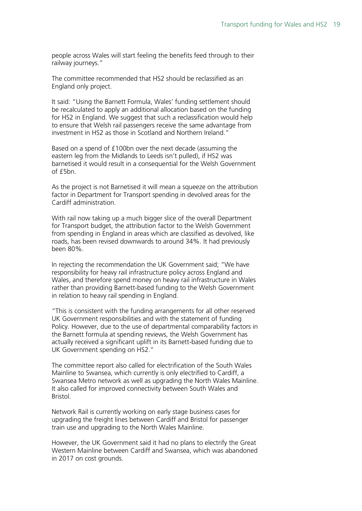people across Wales will start feeling the benefits feed through to their railway journeys."

The committee recommended that HS2 should be reclassified as an England only project.

It said: "Using the Barnett Formula, Wales' funding settlement should be recalculated to apply an additional allocation based on the funding for HS2 in England. We suggest that such a reclassification would help to ensure that Welsh rail passengers receive the same advantage from investment in HS2 as those in Scotland and Northern Ireland."

Based on a spend of £100bn over the next decade (assuming the eastern leg from the Midlands to Leeds isn't pulled), if HS2 was barnetised it would result in a consequential for the Welsh Government of £5bn.

As the project is not Barnetised it will mean a squeeze on the attribution factor in Department for Transport spending in devolved areas for the Cardiff administration.

With rail now taking up a much bigger slice of the overall Department for Transport budget, the attribution factor to the Welsh Government from spending in England in areas which are classified as devolved, like roads, has been revised downwards to around 34%. It had previously been 80%.

In rejecting the recommendation the UK Government said; "We have responsibility for heavy rail infrastructure policy across England and Wales, and therefore spend money on heavy rail infrastructure in Wales rather than providing Barnett-based funding to the Welsh Government in relation to heavy rail spending in England.

"This is consistent with the funding arrangements for all other reserved UK Government responsibilities and with the statement of funding Policy. However, due to the use of departmental comparability factors in the Barnett formula at spending reviews, the Welsh Government has actually received a significant uplift in its Barnett-based funding due to UK Government spending on HS2."

The committee report also called for electrification of the South Wales Mainline to Swansea, which currently is only electrified to Cardiff, a Swansea Metro network as well as upgrading the North Wales Mainline. It also called for improved connectivity between South Wales and Bristol.

Network Rail is currently working on early stage business cases for upgrading the freight lines between Cardiff and Bristol for passenger train use and upgrading to the North Wales Mainline.

However, the UK Government said it had no plans to electrify the Great Western Mainline between Cardiff and Swansea, which was abandoned in 2017 on cost grounds.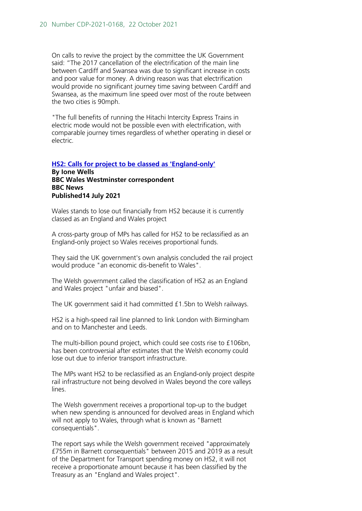On calls to revive the project by the committee the UK Government said: "The 2017 cancellation of the electrification of the main line between Cardiff and Swansea was due to significant increase in costs and poor value for money. A driving reason was that electrification would provide no significant journey time saving between Cardiff and Swansea, as the maximum line speed over most of the route between the two cities is 90mph.

"The full benefits of running the Hitachi Intercity Express Trains in electric mode would not be possible even with electrification, with comparable journey times regardless of whether operating in diesel or electric.

#### **[HS2: Calls for project to be classed as 'England-only'](https://www.bbc.co.uk/news/uk-wales-politics-57829015) By Ione Wells BBC Wales Westminster correspondent BBC News Published14 July 2021**

Wales stands to lose out financially from HS2 because it is currently classed as an England and Wales project

A cross-party group of MPs has called for HS2 to be reclassified as an England-only project so Wales receives proportional funds.

They said the UK government's own analysis concluded the rail project would produce "an economic dis-benefit to Wales".

The Welsh government called the classification of HS2 as an England and Wales project "unfair and biased".

The UK government said it had committed £1.5bn to Welsh railways.

HS2 is a high-speed rail line planned to link London with Birmingham and on to Manchester and Leeds.

The multi-billion pound project, which could see costs rise to £106bn, has been controversial after estimates that the Welsh economy could lose out due to inferior transport infrastructure.

The MPs want HS2 to be reclassified as an England-only project despite rail infrastructure not being devolved in Wales beyond the core valleys lines.

The Welsh government receives a proportional top-up to the budget when new spending is announced for devolved areas in England which will not apply to Wales, through what is known as "Barnett consequentials".

The report says while the Welsh government received "approximately £755m in Barnett consequentials" between 2015 and 2019 as a result of the Department for Transport spending money on HS2, it will not receive a proportionate amount because it has been classified by the Treasury as an "England and Wales project".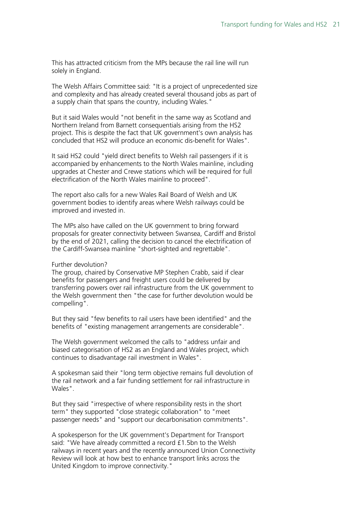This has attracted criticism from the MPs because the rail line will run solely in England.

The Welsh Affairs Committee said: "It is a project of unprecedented size and complexity and has already created several thousand jobs as part of a supply chain that spans the country, including Wales."

But it said Wales would "not benefit in the same way as Scotland and Northern Ireland from Barnett consequentials arising from the HS2 project. This is despite the fact that UK government's own analysis has concluded that HS2 will produce an economic dis-benefit for Wales".

It said HS2 could "yield direct benefits to Welsh rail passengers if it is accompanied by enhancements to the North Wales mainline, including upgrades at Chester and Crewe stations which will be required for full electrification of the North Wales mainline to proceed".

The report also calls for a new Wales Rail Board of Welsh and UK government bodies to identify areas where Welsh railways could be improved and invested in.

The MPs also have called on the UK government to bring forward proposals for greater connectivity between Swansea, Cardiff and Bristol by the end of 2021, calling the decision to cancel the electrification of the Cardiff-Swansea mainline "short-sighted and regrettable".

#### Further devolution?

The group, chaired by Conservative MP Stephen Crabb, said if clear benefits for passengers and freight users could be delivered by transferring powers over rail infrastructure from the UK government to the Welsh government then "the case for further devolution would be compelling".

But they said "few benefits to rail users have been identified" and the benefits of "existing management arrangements are considerable".

The Welsh government welcomed the calls to "address unfair and biased categorisation of HS2 as an England and Wales project, which continues to disadvantage rail investment in Wales".

A spokesman said their "long term objective remains full devolution of the rail network and a fair funding settlement for rail infrastructure in Wales".

But they said "irrespective of where responsibility rests in the short term" they supported "close strategic collaboration" to "meet passenger needs" and "support our decarbonisation commitments".

A spokesperson for the UK government's Department for Transport said: "We have already committed a record £1.5bn to the Welsh railways in recent years and the recently announced Union Connectivity Review will look at how best to enhance transport links across the United Kingdom to improve connectivity."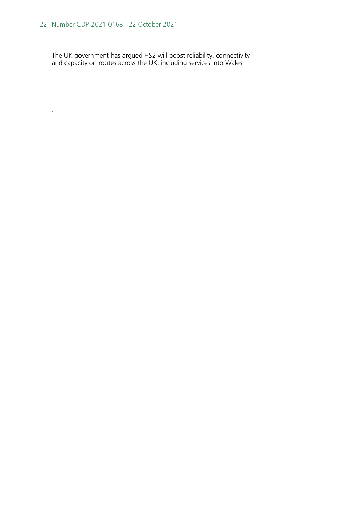.

The UK government has argued HS2 will boost reliability, connectivity and capacity on routes across the UK, including services into Wales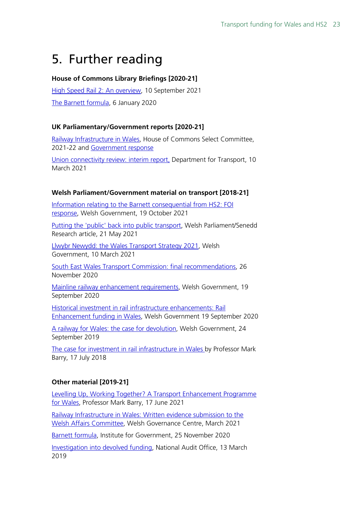## <span id="page-22-0"></span>5. Further reading

#### **House of Commons Library Briefings [2020-21]**

[High Speed Rail 2: An overview,](https://researchbriefings.files.parliament.uk/documents/CBP-9313/CBP-9313.pdf) 10 September 2021 [The Barnett formula,](https://commonslibrary.parliament.uk/research-briefings/cbp-7386/) 6 January 2020

#### **UK Parliamentary/Government reports [2020-21]**

[Railway Infrastructure in Wales,](https://committees.parliament.uk/work/849/railway-infrastructure-in-wales/publications/) House of Commons Select Committee, 2021-22 and [Government response](https://committees.parliament.uk/publications/7384/documents/77392/default/)

[Union connectivity review: interim report,](https://www.gov.uk/government/publications/union-connectivity-review-interim-report) Department for Transport, 10 March 2021

#### **Welsh Parliament/Government material on transport [2018-21]**

[Information relating to the Barnett consequential from HS2: FOI](https://gov.wales/sites/default/files/publications/2021-10/atisn15528.pdf)  [response,](https://gov.wales/sites/default/files/publications/2021-10/atisn15528.pdf) Welsh Government, 19 October 2021

[Putting the 'public' back into public transport,](https://research.senedd.wales/research-articles/putting-the-public-back-into-public-transport/) Welsh Parliament/Senedd Research article, 21 May 2021

[Llwybr Newydd: the Wales Transport Strategy 2021,](https://gov.wales/llwybr-newydd-wales-transport-strategy-2021-html) Welsh Government, 10 March 2021

[South East Wales Transport Commission: final recommendations,](https://gov.wales/south-east-wales-transport-commission-final-recommendations) 26 November 2020

[Mainline railway enhancement requirements,](https://gov.wales/mainline-railway-enhancement-requirements) Welsh Government, 19 September 2020

[Historical investment in rail infrastructure enhancements: Rail](https://gov.wales/sites/default/files/pdf-versions/2021/1/3/1610565368/historical-investment-rail-infrastructure-enhancements.pdf)  [Enhancement funding in Wales,](https://gov.wales/sites/default/files/pdf-versions/2021/1/3/1610565368/historical-investment-rail-infrastructure-enhancements.pdf) Welsh Government 19 September 2020

[A railway for Wales: the case for](https://gov.wales/railway-wales-case-devolution) devolution, Welsh Government, 24 September 2019

[The case for investment in rail infrastructure in Wales b](https://gov.wales/rail-network-wales)y Professor Mark Barry, 17 July 2018

#### **Other material [2019-21]**

[Levelling Up, Working Together? A Transport Enhancement Programme](https://swalesmetroprof.blog/2021/06/17/levelling-up-working-together-a-transport-enhancement-programme-for-wales/)  [for Wales,](https://swalesmetroprof.blog/2021/06/17/levelling-up-working-together-a-transport-enhancement-programme-for-wales/) Professor Mark Barry, 17 June 2021

[Railway Infrastructure in Wales: Written evidence submission to the](https://www.cardiff.ac.uk/__data/assets/pdf_file/0009/2508372/WFA_evidence_rail2.pdf)  [Welsh Affairs Committee,](https://www.cardiff.ac.uk/__data/assets/pdf_file/0009/2508372/WFA_evidence_rail2.pdf) Welsh Governance Centre, March 2021

[Barnett formula,](https://www.instituteforgovernment.org.uk/explainers/barnett-formula) Institute for Government, 25 November 2020

[Investigation into devolved funding,](https://www.nao.org.uk/wp-content/uploads/2019/02/Investigation-into-devolved-funding.pdf) National Audit Office, 13 March 2019